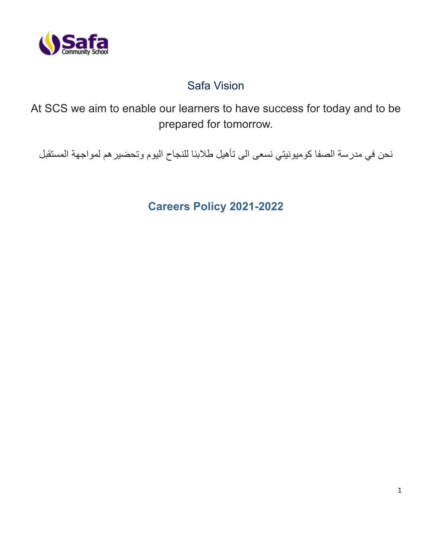

# Safa Vision

At SCS we aim to enable our learners to have success for today and to be prepared for tomorrow.

نحن في مدرسة الصفا كوميونيتي نسعى الى تأهيل طالبنا للنجاح اليوم وتحضيرهم لمواجهة المستقبل

**Careers Policy 2021-2022**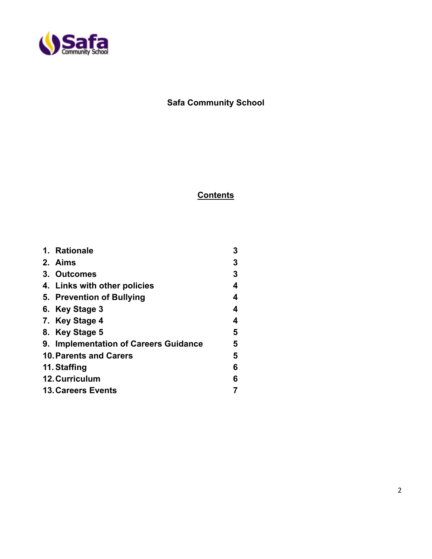

## **Safa Community School**

### **Contents**

| 1. Rationale                          | 3 |
|---------------------------------------|---|
| 2. Aims                               | 3 |
| 3. Outcomes                           | 3 |
| 4. Links with other policies          | 4 |
| 5. Prevention of Bullying             | 4 |
| 6. Key Stage 3                        | 4 |
| 7. Key Stage 4                        | 4 |
| 8. Key Stage 5                        | 5 |
| 9. Implementation of Careers Guidance | 5 |
| <b>10. Parents and Carers</b>         | 5 |
| 11. Staffing                          | 6 |
| 12. Curriculum                        | 6 |
| <b>13. Careers Events</b>             |   |
|                                       |   |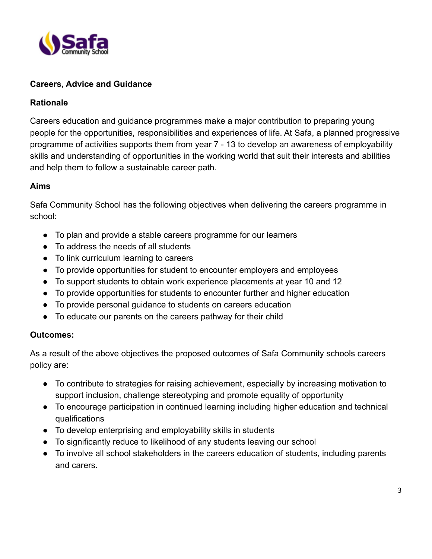

#### **Careers, Advice and Guidance**

#### **Rationale**

Careers education and guidance programmes make a major contribution to preparing young people for the opportunities, responsibilities and experiences of life. At Safa, a planned progressive programme of activities supports them from year 7 - 13 to develop an awareness of employability skills and understanding of opportunities in the working world that suit their interests and abilities and help them to follow a sustainable career path.

#### **Aims**

Safa Community School has the following objectives when delivering the careers programme in school:

- To plan and provide a stable careers programme for our learners
- To address the needs of all students
- To link curriculum learning to careers
- To provide opportunities for student to encounter employers and employees
- To support students to obtain work experience placements at year 10 and 12
- To provide opportunities for students to encounter further and higher education
- To provide personal guidance to students on careers education
- To educate our parents on the careers pathway for their child

#### **Outcomes:**

As a result of the above objectives the proposed outcomes of Safa Community schools careers policy are:

- To contribute to strategies for raising achievement, especially by increasing motivation to support inclusion, challenge stereotyping and promote equality of opportunity
- To encourage participation in continued learning including higher education and technical qualifications
- To develop enterprising and employability skills in students
- To significantly reduce to likelihood of any students leaving our school
- To involve all school stakeholders in the careers education of students, including parents and carers.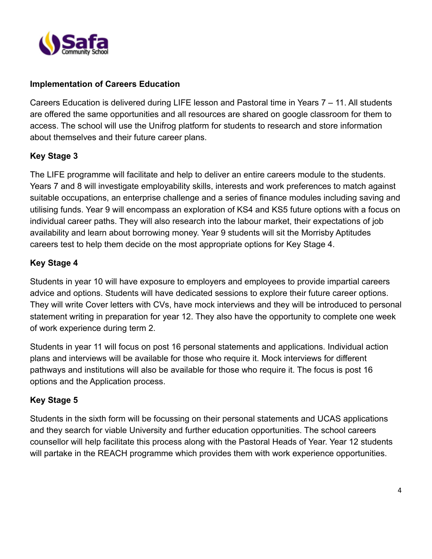

#### **Implementation of Careers Education**

Careers Education is delivered during LIFE lesson and Pastoral time in Years 7 – 11. All students are offered the same opportunities and all resources are shared on google classroom for them to access. The school will use the Unifrog platform for students to research and store information about themselves and their future career plans.

#### **Key Stage 3**

The LIFE programme will facilitate and help to deliver an entire careers module to the students. Years 7 and 8 will investigate employability skills, interests and work preferences to match against suitable occupations, an enterprise challenge and a series of finance modules including saving and utilising funds. Year 9 will encompass an exploration of KS4 and KS5 future options with a focus on individual career paths. They will also research into the labour market, their expectations of job availability and learn about borrowing money. Year 9 students will sit the Morrisby Aptitudes careers test to help them decide on the most appropriate options for Key Stage 4.

#### **Key Stage 4**

Students in year 10 will have exposure to employers and employees to provide impartial careers advice and options. Students will have dedicated sessions to explore their future career options. They will write Cover letters with CVs, have mock interviews and they will be introduced to personal statement writing in preparation for year 12. They also have the opportunity to complete one week of work experience during term 2.

Students in year 11 will focus on post 16 personal statements and applications. Individual action plans and interviews will be available for those who require it. Mock interviews for different pathways and institutions will also be available for those who require it. The focus is post 16 options and the Application process.

#### **Key Stage 5**

Students in the sixth form will be focussing on their personal statements and UCAS applications and they search for viable University and further education opportunities. The school careers counsellor will help facilitate this process along with the Pastoral Heads of Year. Year 12 students will partake in the REACH programme which provides them with work experience opportunities.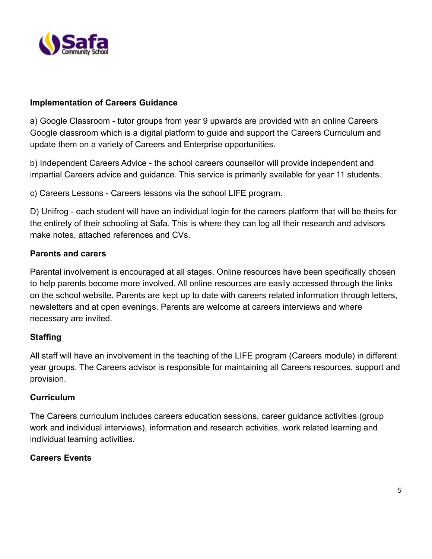

#### **Implementation of Careers Guidance**

a) Google Classroom - tutor groups from year 9 upwards are provided with an online Careers Google classroom which is a digital platform to guide and support the Careers Curriculum and update them on a variety of Careers and Enterprise opportunities.

b) Independent Careers Advice - the school careers counsellor will provide independent and impartial Careers advice and guidance. This service is primarily available for year 11 students.

c) Careers Lessons - Careers lessons via the school LIFE program.

D) Unifrog - each student will have an individual login for the careers platform that will be theirs for the entirety of their schooling at Safa. This is where they can log all their research and advisors make notes, attached references and CVs.

#### **Parents and carers**

Parental involvement is encouraged at all stages. Online resources have been specifically chosen to help parents become more involved. All online resources are easily accessed through the links on the school website. Parents are kept up to date with careers related information through letters, newsletters and at open evenings. Parents are welcome at careers interviews and where necessary are invited.

#### **Staffing**

All staff will have an involvement in the teaching of the LIFE program (Careers module) in different year groups. The Careers advisor is responsible for maintaining all Careers resources, support and provision.

#### **Curriculum**

The Careers curriculum includes careers education sessions, career guidance activities (group work and individual interviews), information and research activities, work related learning and individual learning activities.

#### **Careers Events**